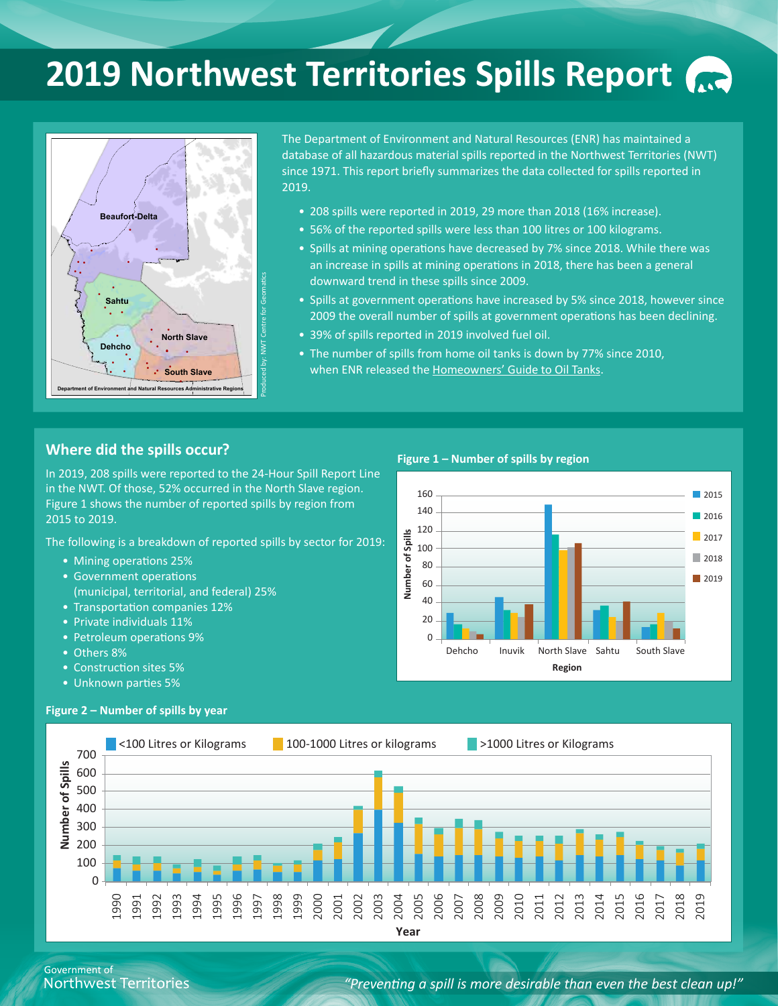# **2019 Northwest Territories Spills Report**



The Department of Environment and Natural Resources (ENR) has maintained a database of all hazardous material spills reported in the Northwest Territories (NWT) since 1971. This report briefly summarizes the data collected for spills reported in 2019.

- 208 spills were reported in 2019, 29 more than 2018 (16% increase).
- 56% of the reported spills were less than 100 litres or 100 kilograms.
- Spills at mining operations have decreased by 7% since 2018. While there was an increase in spills at mining operations in 2018, there has been a general downward trend in these spills since 2009.
- Spills at government operations have increased by 5% since 2018, however since 2009 the overall number of spills at government operations has been declining.
- 39% of spills reported in 2019 involved fuel oil.
- The number of spills from home oil tanks is down by 77% since 2010, when ENR released the [Homeowners' Guide to Oil Tanks.](https://www.enr.gov.nt.ca/sites/enr/files/brochures/homeowners_guide_oil_tanks.pdf)

#### **Where did the spills occur?**

In 2019, 208 spills were reported to the 24-Hour Spill Report Line in the NWT. Of those, 52% occurred in the North Slave region. Figure 1 shows the number of reported spills by region from 2015 to 2019.

The following is a breakdown of reported spills by sector for 2019:

- Mining operations 25%
- Government operations
- (municipal, territorial, and federal) 25%
- Transportation companies 12%
- Private individuals 11%
- Petroleum operations 9%
- Others 8%

**Number of Spills**

Number of Spills

- Construction sites 5%
- Unknown parties 5%



**Year**

Government of **Northwest Territories** 

#### *"Preventing a spill is more desirable than even the best clean up!"*

#### **Figure 1 – Number of spills by region**